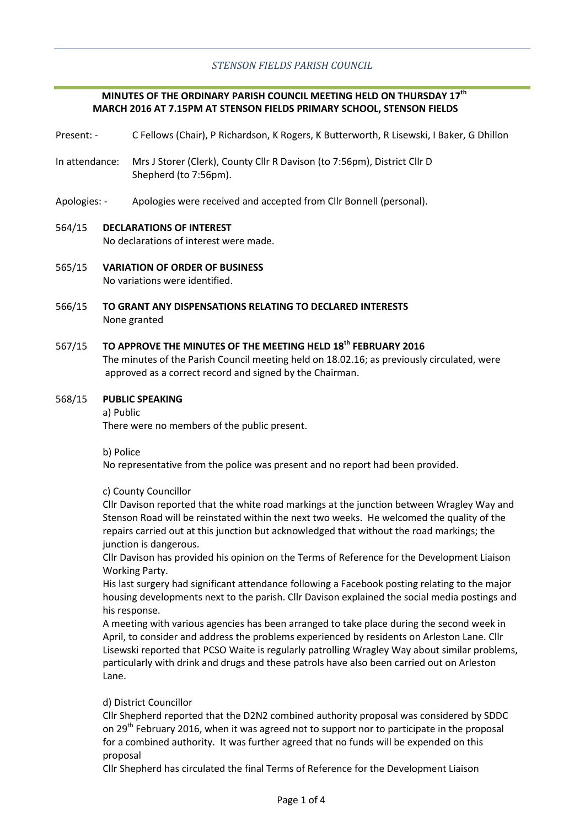# *STENSON FIELDS PARISH COUNCIL*

# **MINUTES OF THE ORDINARY PARISH COUNCIL MEETING HELD ON THURSDAY 17th MARCH 2016 AT 7.15PM AT STENSON FIELDS PRIMARY SCHOOL, STENSON FIELDS**

- Present: C Fellows (Chair), P Richardson, K Rogers, K Butterworth, R Lisewski, I Baker, G Dhillon
- In attendance: Mrs J Storer (Clerk), County Cllr R Davison (to 7:56pm), District Cllr D Shepherd (to 7:56pm).
- Apologies: Apologies were received and accepted from Cllr Bonnell (personal).

# 564/15 **DECLARATIONS OF INTEREST**

No declarations of interest were made.

- 565/15 **VARIATION OF ORDER OF BUSINESS** No variations were identified.
- 566/15 **TO GRANT ANY DISPENSATIONS RELATING TO DECLARED INTERESTS** None granted

## 567/15 **TO APPROVE THE MINUTES OF THE MEETING HELD 18th FEBRUARY 2016**

The minutes of the Parish Council meeting held on 18.02.16; as previously circulated, were approved as a correct record and signed by the Chairman.

#### 568/15 **PUBLIC SPEAKING**

a) Public There were no members of the public present.

b) Police

No representative from the police was present and no report had been provided.

# c) County Councillor

Cllr Davison reported that the white road markings at the junction between Wragley Way and Stenson Road will be reinstated within the next two weeks. He welcomed the quality of the repairs carried out at this junction but acknowledged that without the road markings; the junction is dangerous.

Cllr Davison has provided his opinion on the Terms of Reference for the Development Liaison Working Party.

His last surgery had significant attendance following a Facebook posting relating to the major housing developments next to the parish. Cllr Davison explained the social media postings and his response.

A meeting with various agencies has been arranged to take place during the second week in April, to consider and address the problems experienced by residents on Arleston Lane. Cllr Lisewski reported that PCSO Waite is regularly patrolling Wragley Way about similar problems, particularly with drink and drugs and these patrols have also been carried out on Arleston Lane.

# d) District Councillor

Cllr Shepherd reported that the D2N2 combined authority proposal was considered by SDDC on 29<sup>th</sup> February 2016, when it was agreed not to support nor to participate in the proposal for a combined authority. It was further agreed that no funds will be expended on this proposal

Cllr Shepherd has circulated the final Terms of Reference for the Development Liaison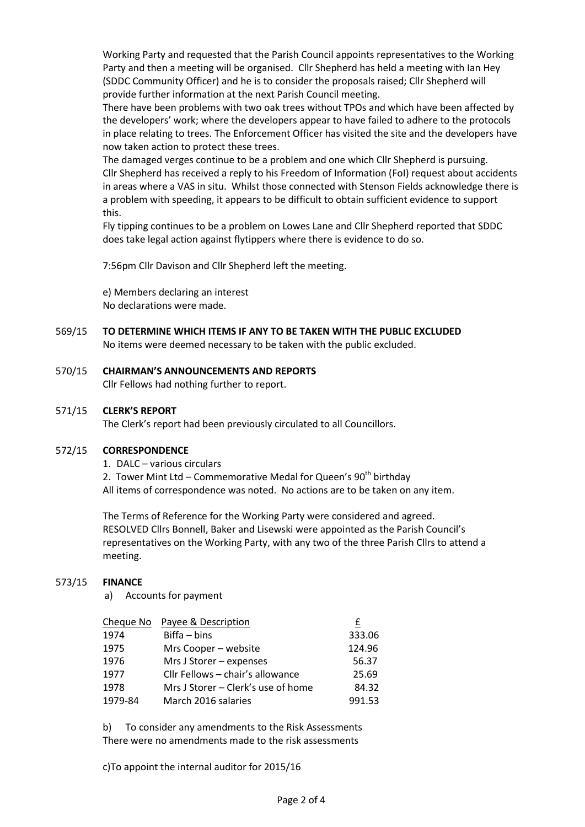Working Party and requested that the Parish Council appoints representatives to the Working Party and then a meeting will be organised. Cllr Shepherd has held a meeting with Ian Hey (SDDC Community Officer) and he is to consider the proposals raised; Cllr Shepherd will provide further information at the next Parish Council meeting.

There have been problems with two oak trees without TPOs and which have been affected by the developers' work; where the developers appear to have failed to adhere to the protocols in place relating to trees. The Enforcement Officer has visited the site and the developers have now taken action to protect these trees.

The damaged verges continue to be a problem and one which Cllr Shepherd is pursuing. Cllr Shepherd has received a reply to his Freedom of Information (FoI) request about accidents in areas where a VAS in situ. Whilst those connected with Stenson Fields acknowledge there is a problem with speeding, it appears to be difficult to obtain sufficient evidence to support this.

Fly tipping continues to be a problem on Lowes Lane and Cllr Shepherd reported that SDDC does take legal action against flytippers where there is evidence to do so.

7:56pm Cllr Davison and Cllr Shepherd left the meeting.

e) Members declaring an interest No declarations were made.

569/15 **TO DETERMINE WHICH ITEMS IF ANY TO BE TAKEN WITH THE PUBLIC EXCLUDED**

No items were deemed necessary to be taken with the public excluded.

#### 570/15 **CHAIRMAN'S ANNOUNCEMENTS AND REPORTS**

Cllr Fellows had nothing further to report.

## 571/15 **CLERK'S REPORT**

The Clerk's report had been previously circulated to all Councillors.

#### 572/15 **CORRESPONDENCE**

1. DALC – various circulars

2. Tower Mint Ltd – Commemorative Medal for Queen's  $90<sup>th</sup>$  birthday All items of correspondence was noted. No actions are to be taken on any item.

The Terms of Reference for the Working Party were considered and agreed. RESOLVED Cllrs Bonnell, Baker and Lisewski were appointed as the Parish Council's representatives on the Working Party, with any two of the three Parish Cllrs to attend a meeting.

#### 573/15 **FINANCE**

a) Accounts for payment

|         | Cheque No Payee & Description      | £      |
|---------|------------------------------------|--------|
| 1974    | Biffa – bins                       | 333.06 |
| 1975    | Mrs Cooper - website               | 124.96 |
| 1976    | Mrs J Storer - expenses            | 56.37  |
| 1977    | Cllr Fellows - chair's allowance   | 25.69  |
| 1978    | Mrs J Storer – Clerk's use of home | 84.32  |
| 1979-84 | March 2016 salaries                | 991.53 |

b) To consider any amendments to the Risk Assessments There were no amendments made to the risk assessments

c)To appoint the internal auditor for 2015/16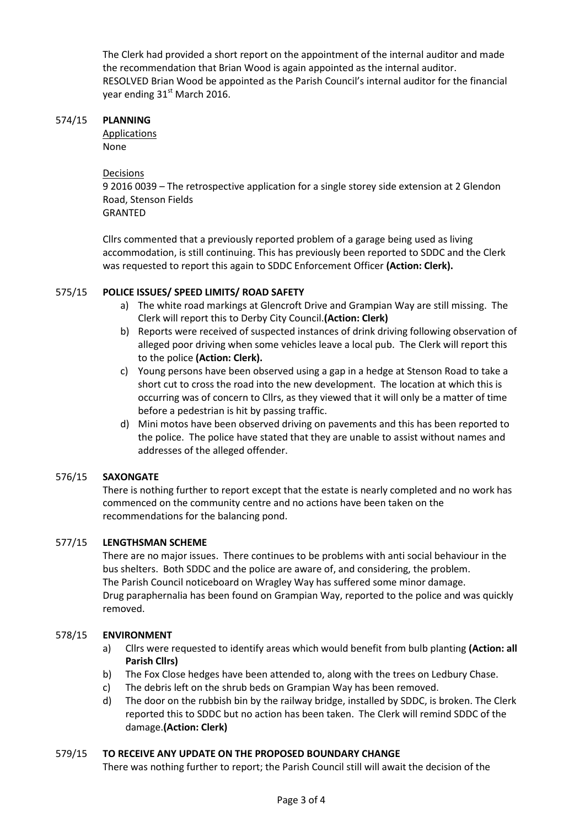The Clerk had provided a short report on the appointment of the internal auditor and made the recommendation that Brian Wood is again appointed as the internal auditor. RESOLVED Brian Wood be appointed as the Parish Council's internal auditor for the financial year ending 31<sup>st</sup> March 2016.

## 574/15 **PLANNING**

**Applications** 

None

Decisions

9 2016 0039 – The retrospective application for a single storey side extension at 2 Glendon Road, Stenson Fields

**GRANTED** 

Cllrs commented that a previously reported problem of a garage being used as living accommodation, is still continuing. This has previously been reported to SDDC and the Clerk was requested to report this again to SDDC Enforcement Officer **(Action: Clerk).**

# 575/15 **POLICE ISSUES/ SPEED LIMITS/ ROAD SAFETY**

- a) The white road markings at Glencroft Drive and Grampian Way are still missing. The Clerk will report this to Derby City Council.**(Action: Clerk)**
- b) Reports were received of suspected instances of drink driving following observation of alleged poor driving when some vehicles leave a local pub. The Clerk will report this to the police **(Action: Clerk).**
- c) Young persons have been observed using a gap in a hedge at Stenson Road to take a short cut to cross the road into the new development. The location at which this is occurring was of concern to Cllrs, as they viewed that it will only be a matter of time before a pedestrian is hit by passing traffic.
- d) Mini motos have been observed driving on pavements and this has been reported to the police. The police have stated that they are unable to assist without names and addresses of the alleged offender.

# 576/15 **SAXONGATE**

There is nothing further to report except that the estate is nearly completed and no work has commenced on the community centre and no actions have been taken on the recommendations for the balancing pond.

# 577/15 **LENGTHSMAN SCHEME**

There are no major issues. There continues to be problems with anti social behaviour in the bus shelters. Both SDDC and the police are aware of, and considering, the problem. The Parish Council noticeboard on Wragley Way has suffered some minor damage. Drug paraphernalia has been found on Grampian Way, reported to the police and was quickly removed.

# 578/15 **ENVIRONMENT**

- a) Cllrs were requested to identify areas which would benefit from bulb planting **(Action: all Parish Cllrs)**
- b) The Fox Close hedges have been attended to, along with the trees on Ledbury Chase.
- c) The debris left on the shrub beds on Grampian Way has been removed.
- d) The door on the rubbish bin by the railway bridge, installed by SDDC, is broken. The Clerk reported this to SDDC but no action has been taken. The Clerk will remind SDDC of the damage.**(Action: Clerk)**

# 579/15 **TO RECEIVE ANY UPDATE ON THE PROPOSED BOUNDARY CHANGE**

There was nothing further to report; the Parish Council still will await the decision of the